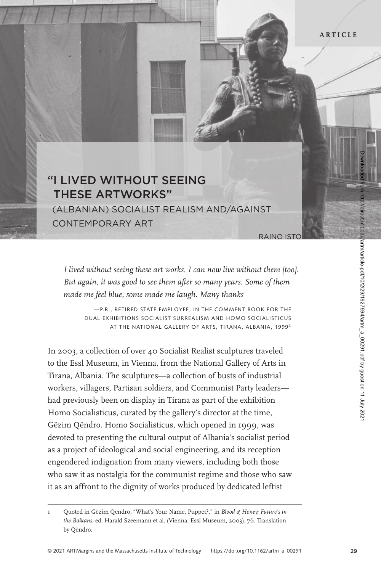## "I LIVED WITHOUT SEEING tHeSe artWorKS"

 (AlbAnIAn) socIAlIst ReAlIsm And/AgAInst contempoRARy ARt

RAINO IST

*I lived without seeing these art works. I can now live without them [too]. But again, it was good to see them after so many years. Some of them made me feel blue, some made me laugh. Many thanks*

—P.R., RETIRED STATE EMPLOYEE, IN THE COMMENT BOOK FOR THE DUAL EXHIBITIONS SOCIALIST SURREALISM AND HOMO SOCIALISTICUS AT THE NATIONAL GALLERY OF ARTS, TIRANA, ALBANIA, 1999<sup>1</sup>

In 2003, a collection of over 40 Socialist Realist sculptures traveled to the Essl Museum, in Vienna, from the National Gallery of Arts in Tirana, Albania. The sculptures—a collection of busts of industrial workers, villagers, Partisan soldiers, and Communist Party leaders had previously been on display in Tirana as part of the exhibition Homo Socialisticus, curated by the gallery's director at the time, Gëzim Qëndro. Homo Socialisticus, which opened in 1999, was devoted to presenting the cultural output of Albania's socialist period as a project of ideological and social engineering, and its reception engendered indignation from many viewers, including both those who saw it as nostalgia for the communist regime and those who saw it as an affront to the dignity of works produced by dedicated leftist

<sup>1</sup> Quoted in Gëzim Qëndro, "What's Your Name, Puppet?," in *Blood & Honey: Future's in the Balkans*, ed. Harald Szeemann et al. (Vienna: Essl Museum, 2003), 76. Translation by Qëndro.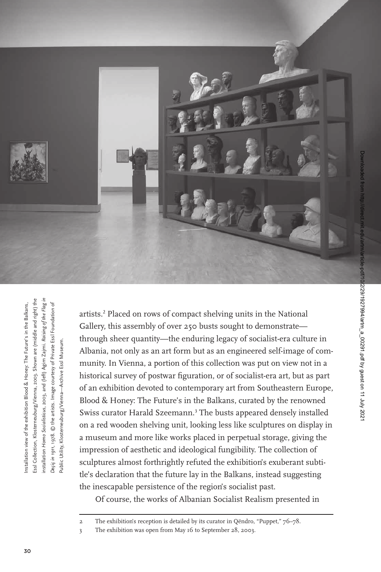

Essl Collection, Klosterneuburg/Vienna, 2003. Shown are (middle and right) the installation *Homo Socialisticus*, 2003, and (left) Agim Zajmi. *Raising of the Flag in*  Essl Collection, Klosterneuburg/Vienna, 2003. Shown are (middle and right) the nstallation view of the exhibition Blood & Honey: The Future's in the Balkans, Installation view of the exhibition Blood & Honey: The Future's in the Balkans, nstallation Homo Socialisticus, 2003, and (left) Agim Zajmi. Raising of the Flag Decic in 1911, 1978. © the artists. Image courtesy of Private Essl Foundation of *Deçiç in 1911*, 1978. © the artists. Image courtesy of Private Essl Foundation of Public Utility, Klosterneuburg/Vienna-Archive Essl Museum. Public Utility, Klosterneuburg/Vienna—Archive Essl Museum.

artists.<sup>2</sup> Placed on rows of compact shelving units in the National Gallery, this assembly of over 250 busts sought to demonstrate through sheer quantity—the enduring legacy of socialist-era culture in Albania, not only as an art form but as an engineered self-image of community. In Vienna, a portion of this collection was put on view not in a historical survey of postwar figuration, or of socialist-era art, but as part of an exhibition devoted to contemporary art from Southeastern Europe, Blood & Honey: The Future's in the Balkans, curated by the renowned Swiss curator Harald Szeemann.<sup>3</sup> The busts appeared densely installed on a red wooden shelving unit, looking less like sculptures on display in a museum and more like works placed in perpetual storage, giving the impression of aesthetic and ideological fungibility. The collection of sculptures almost forthrightly refuted the exhibition's exuberant subtitle's declaration that the future lay in the Balkans, instead suggesting the inescapable persistence of the region's socialist past.

Of course, the works of Albanian Socialist Realism presented in

<sup>2</sup> The exhibition's reception is detailed by its curator in Qëndro, "Puppet," 76–78.

<sup>3</sup> The exhibition was open from May 16 to September 28, 2003.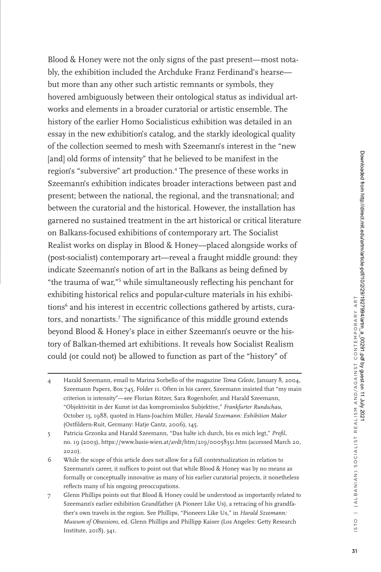Blood & Honey were not the only signs of the past present—most notably, the exhibition included the Archduke Franz Ferdinand's hearse but more than any other such artistic remnants or symbols, they hovered ambiguously between their ontological status as individual artworks and elements in a broader curatorial or artistic ensemble. The history of the earlier Homo Socialisticus exhibition was detailed in an essay in the new exhibition's catalog, and the starkly ideological quality of the collection seemed to mesh with Szeemann's interest in the "new [and] old forms of intensity" that he believed to be manifest in the region's "subversive" art production.<sup>4</sup> The presence of these works in Szeemann's exhibition indicates broader interactions between past and present; between the national, the regional, and the transnational; and between the curatorial and the historical. However, the installation has garnered no sustained treatment in the art historical or critical literature on Balkans-focused exhibitions of contemporary art. The Socialist Realist works on display in Blood & Honey—placed alongside works of (post-socialist) contemporary art—reveal a fraught middle ground: they indicate Szeemann's notion of art in the Balkans as being defined by "the trauma of war,"<sup>5</sup> while simultaneously reflecting his penchant for exhibiting historical relics and popular-culture materials in his exhibitions<sup>6</sup> and his interest in eccentric collections gathered by artists, curators, and nonartists.<sup>7</sup> The significance of this middle ground extends beyond Blood & Honey's place in either Szeemann's oeuvre or the history of Balkan-themed art exhibitions. It reveals how Socialist Realism could (or could not) be allowed to function as part of the "history" of

- 6 While the scope of this article does not allow for a full contextualization in relation to Szeemann's career, it suffices to point out that while Blood & Honey was by no means as formally or conceptually innovative as many of his earlier curatorial projects, it nonetheless reflects many of his ongoing preoccupations.
- 7 Glenn Phillips points out that Blood & Honey could be understood as importantly related to Szeemann's earlier exhibition Grandfather (A Pioneer Like Us), a retracing of his grandfather's own travels in the region. See Phillips, "Pioneers Like Us," in *Harald Szeemann: Museum of Obsessions*, ed. Glenn Phillips and Phillipp Kaiser (Los Angeles: Getty Research Institute, 2018), 341.

<sup>4</sup> Harald Szeemann, email to Marina Sorbello of the magazine *Tema Celeste*, January 8, 2004, Szeemann Papers, Box 745, Folder 11. Often in his career, Szeemann insisted that "my main criterion is intensity"—see Florian Rötzer, Sara Rogenhofer, and Harald Szeemann, "Objektivität in der Kunst ist das kompromisslos Subjektive," *Frankfurter Rundschau*, October 15, 1988, quoted in Hans-Joachim Müller, *Harald Szeemann: Exhibition Maker* (Ostfildern-Ruit, Germany: Hatje Cantz, 2006), 145.

<sup>5</sup> Patricia Grzonka and Harald Szeemann, "Das halte ich durch, bis es mich legt," *Profil*, no. 19 (2003), https://www.basis-wien.at/avdt/htm/219/00058331.htm (accessed March 20, 2020).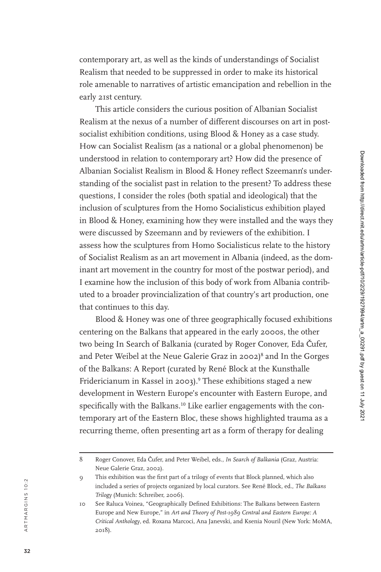contemporary art, as well as the kinds of understandings of Socialist Realism that needed to be suppressed in order to make its historical role amenable to narratives of artistic emancipation and rebellion in the early 21st century.

This article considers the curious position of Albanian Socialist Realism at the nexus of a number of different discourses on art in postsocialist exhibition conditions, using Blood & Honey as a case study. How can Socialist Realism (as a national or a global phenomenon) be understood in relation to contemporary art? How did the presence of Albanian Socialist Realism in Blood & Honey reflect Szeemann's understanding of the socialist past in relation to the present? To address these questions, I consider the roles (both spatial and ideological) that the inclusion of sculptures from the Homo Socialisticus exhibition played in Blood & Honey, examining how they were installed and the ways they were discussed by Szeemann and by reviewers of the exhibition. I assess how the sculptures from Homo Socialisticus relate to the history of Socialist Realism as an art movement in Albania (indeed, as the dom inant art movement in the country for most of the postwar period), and I examine how the inclusion of this body of work from Albania contrib uted to a broader provincialization of that country's art production, one that continues to this day.

Blood & Honey was one of three geographically focused exhibitions centering on the Balkans that appeared in the early 2000s, the other two being In Search of Balkania (curated by Roger Conover, Eda Čufer, and Peter Weibel at the Neue Galerie Graz in 2002) 8 and In the Gorges of the Balkans: A Report (curated by René Block at the Kunsthalle Fridericianum in Kassel in 2003). 9 These exhibitions staged a new development in Western Europe's encounter with Eastern Europe, and specifically with the Balkans.<sup>10</sup> Like earlier engagements with the contemporary art of the Eastern Bloc, these shows highlighted trauma as a recurring theme, often presenting art as a form of therapy for dealing

<sup>8</sup> Roger Conover, Eda Čufer, and Peter Weibel, eds., *In Search of Balkania* (Graz, Austria: Neue Galerie Graz, 2002).

<sup>9</sup> This exhibition was the first part of a trilogy of events that Block planned, which also included a series of projects organized by local curators. See René Block, ed., *The Balkans Trilogy* (Munich: Schreiber, 2006).

<sup>10</sup> See Raluca Voinea, "Geographically Defined Exhibitions: The Balkans between Eastern Europe and New Europe," in *Art and Theory of Post-1989 Central and Eastern Europe: A Critical Anthology*, ed. Roxana Marcoci, Ana Janevski, and Ksenia Nouril (New York: MoMA, 2018).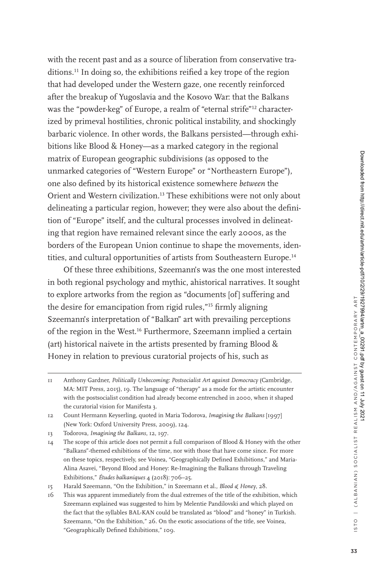with the recent past and as a source of liberation from conservative traditions.<sup>11</sup> In doing so, the exhibitions reified a key trope of the region that had developed under the Western gaze, one recently reinforced after the breakup of Yugoslavia and the Kosovo War: that the Balkans was the "powder-keg" of Europe, a realm of "eternal strife"<sup>12</sup> characterized by primeval hostilities, chronic political instability, and shockingly barbaric violence. In other words, the Balkans persisted—through exhibitions like Blood & Honey—as a marked category in the regional matrix of European geographic subdivisions (as opposed to the unmarked categories of "Western Europe" or "Northeastern Europe"), one also defined by its historical existence somewhere *between* the Orient and Western civilization.<sup>13</sup> These exhibitions were not only about delineating a particular region, however; they were also about the definition of "Europe" itself, and the cultural processes involved in delineating that region have remained relevant since the early 2000s, as the borders of the European Union continue to shape the movements, identities, and cultural opportunities of artists from Southeastern Europe.<sup>14</sup>

Of these three exhibitions, Szeemann's was the one most interested in both regional psychology and mythic, ahistorical narratives. It sought to explore artworks from the region as "documents [of] suffering and the desire for emancipation from rigid rules,"<sup>15</sup> firmly aligning Szeemann's interpretation of "Balkan" art with prevailing perceptions of the region in the West.<sup>16</sup> Furthermore, Szeemann implied a certain (art) historical naivete in the artists presented by framing Blood  $\&$ Honey in relation to previous curatorial projects of his, such as

<sup>11</sup> Anthony Gardner, *Politically Unbecoming: Postsocialist Art against Democracy* (Cambridge, MA: MIT Press, 2015), 19. The language of "therapy" as a mode for the artistic encounter with the postsocialist condition had already become entrenched in 2000, when it shaped the curatorial vision for Manifesta 3.

<sup>12</sup> Count Hermann Keyserling, quoted in Maria Todorova, *Imagining the Balkans* [1997] (New York: Oxford University Press, 2009), 124.

<sup>13</sup> Todorova, *Imagining the Balkans*, 12, 197.

<sup>14</sup> The scope of this article does not permit a full comparison of Blood & Honey with the other "Balkans"-themed exhibitions of the time, nor with those that have come since. For more on these topics, respectively, see Voinea, "Geographically Defined Exhibitions," and Maria-Alina Asavei, "Beyond Blood and Honey: Re-Imagining the Balkans through Traveling Exhibitions," *Études balkaniques* 4 (2018): 706–25.

<sup>15</sup> Harald Szeemann, "On the Exhibition," in Szeemann et al., *Blood & Honey*, 28.

<sup>16</sup> This was apparent immediately from the dual extremes of the title of the exhibition, which Szeemann explained was suggested to him by Melentie Pandilovski and which played on the fact that the syllables BAL-KAN could be translated as "blood" and "honey" in Turkish. Szeemann, "On the Exhibition," 26. On the exotic associations of the title, see Voinea, "Geographically Defined Exhibitions," 109.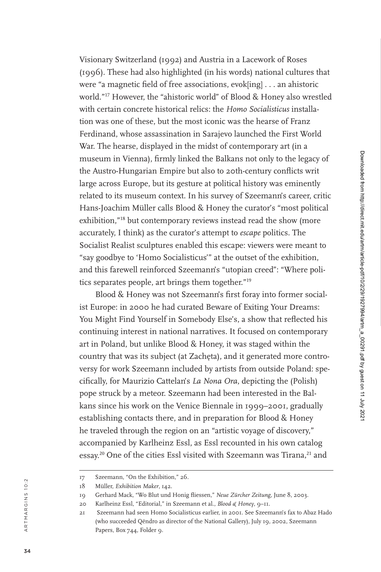Visionary Switzerland (1992) and Austria in a Lacework of Roses (1996). These had also highlighted (in his words) national cultures that were "a magnetic field of free associations, evok[ing] . . . an ahistoric world."<sup>17</sup> However, the "ahistoric world" of Blood & Honey also wrestled with certain concrete historical relics: the *Homo Socialisticus* installation was one of these, but the most iconic was the hearse of Franz Ferdinand, whose assassination in Sarajevo launched the First World War. The hearse, displayed in the midst of contemporary art (in a museum in Vienna), firmly linked the Balkans not only to the legacy of the Austro-Hungarian Empire but also to 20th-century conflicts writ large across Europe, but its gesture at political history was eminently related to its museum context. In his survey of Szeemann's career, critic Hans-Joachim Müller calls Blood & Honey the curator's "most political exhibition,"<sup>18</sup> but contemporary reviews instead read the show (more accurately, I think) as the curator's attempt to *escape* politics. The Socialist Realist sculptures enabled this escape: viewers were meant to "say goodbye to 'Homo Socialisticus'" at the outset of the exhibition, and this farewell reinforced Szeemann's "utopian creed": "Where poli tics separates people, art brings them together."<sup>19</sup>

Blood & Honey was not Szeemann's first foray into former social ist Europe: in 2000 he had curated Beware of Exiting Your Dreams: You Might Find Yourself in Somebody Else's, a show that reflected his continuing interest in national narratives. It focused on contemporary art in Poland, but unlike Blood & Honey, it was staged within the country that was its subject (at Zachęta), and it generated more controversy for work Szeemann included by artists from outside Poland: spe cifically, for Maurizio Cattelan's *La Nona Ora*, depicting the (Polish) pope struck by a meteor. Szeemann had been interested in the Balkans since his work on the Venice Biennale in 1999–2001, gradually establishing contacts there, and in preparation for Blood & Honey he traveled through the region on an "artistic voyage of discovery," accompanied by Karlheinz Essl, as Essl recounted in his own catalog essay.<sup>20</sup> One of the cities Essl visited with Szeemann was Tirana,<sup>21</sup> and

<sup>17</sup> Szeemann, "On the Exhibition," 26.

<sup>18</sup> Müller, *Exhibition Maker*, 142.

<sup>19</sup> Gerhard Mack, "Wo Blut und Honig fliessen," *Neue Zürcher Zeitung*, June 8, 2003.

<sup>20</sup> Karlheinz Essl, "Editorial," in Szeemann et al., *Blood & Honey*, 9–11.

<sup>21</sup> Szeemann had seen Homo Socialisticus earlier, in 2001. See Szeemann's fax to Abaz Hado (who succeeded Qëndro as director of the National Gallery), July 19, 2002, Szeemann Papers, Box 744, Folder 9.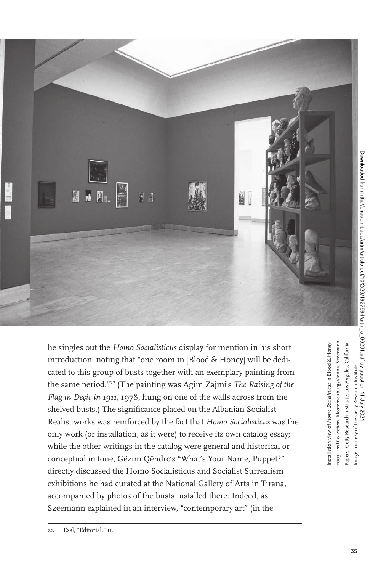

圆 И M N  $\mathbb{R}$ 

> he singles out the *Homo Socialisticus* display for mention in his short introduction, noting that "one room in [Blood & Honey] will be dedicated to this group of busts together with an exemplary painting from the same period."<sup>22</sup> (The painting was Agim Zajmi's *The Raising of the Flag in Deçiç in 1911*, 1978, hung on one of the walls across from the shelved busts.) The significance placed on the Albanian Socialist Realist works was reinforced by the fact that *Homo Socialisticus* was the only work (or installation, as it were) to receive its own catalog essay; while the other writings in the catalog were general and historical or conceptual in tone, Gëzim Qëndro's "What's Your Name, Puppet?" directly discussed the Homo Socialisticus and Socialist Surrealism exhibitions he had curated at the National Gallery of Arts in Tirana, accompanied by photos of the busts installed there. Indeed, as Szeemann explained in an interview, "contemporary art" (in the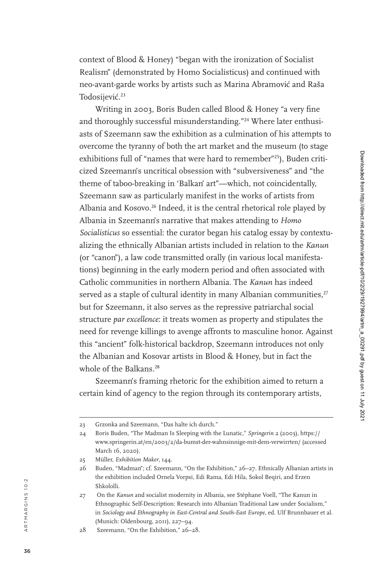context of Blood & Honey) "began with the ironization of Socialist Realism" (demonstrated by Homo Socialisticus) and continued with neo-avant-garde works by artists such as Marina Abramović and Raša Todosijević.<sup>23</sup>

Writing in 2003, Boris Buden called Blood & Honey "a very fine and thoroughly successful misunderstanding."<sup>24</sup> Where later enthusiasts of Szeemann saw the exhibition as a culmination of his attempts to overcome the tyranny of both the art market and the museum (to stage exhibitions full of "names that were hard to remember"<sup>25</sup>), Buden criticized Szeemann's uncritical obsession with "subversiveness" and "the theme of taboo-breaking in 'Balkan' art"—which, not coincidentally, Szeemann saw as particularly manifest in the works of artists from Albania and Kosovo.<sup>26</sup> Indeed, it is the central rhetorical role played by Albania in Szeemann's narrative that makes attending to *Homo Socialisticus* so essential: the curator began his catalog essay by contextu alizing the ethnically Albanian artists included in relation to the *Kanun* (or "canon"), a law code transmitted orally (in various local manifesta tions) beginning in the early modern period and often associated with Catholic communities in northern Albania. The *Kanun* has indeed served as a staple of cultural identity in many Albanian communities,<sup>27</sup> but for Szeemann, it also serves as the repressive patriarchal social structure *par excellence*: it treats women as property and stipulates the need for revenge killings to avenge affronts to masculine honor. Against this "ancient" folk-historical backdrop, Szeemann introduces not only the Albanian and Kosovar artists in Blood & Honey, but in fact the whole of the Balkans.<sup>28</sup>

Szeemann's framing rhetoric for the exhibition aimed to return a certain kind of agency to the region through its contemporary artists,

<sup>23</sup> Grzonka and Szeemann, "Das halte ich durch."

<sup>24</sup> Boris Buden, "The Madman Is Sleeping with the Lunatic," *Springerin* 2 (2003), https:// www.springerin.at/en/2003/2/da-bumst-der-wahnsinnige-mit-dem-verwirrten/ (accessed March 16, 2020).

<sup>25</sup> Müller, *Exhibition Maker*, 144.

<sup>26</sup> Buden, "Madman"; cf. Szeemann, "On the Exhibition," 26–27. Ethnically Albanian artists in the exhibition included Ornela Vorpsi, Edi Rama, Edi Hila, Sokol Beqiri, and Erzen Shkololli.

<sup>27</sup> On the *Kanun* and socialist modernity in Albania, see Stéphane Voell, "The Kanun in Ethnographic Self-Description: Research into Albanian Traditional Law under Socialism," in *Sociology and Ethnography in East-Central and South-East Europe*, ed. Ulf Brunnbauer et al. (Munich: Oldenbourg, 2011), 227–94.

<sup>28</sup> Szeemann, "On the Exhibition," 26–28.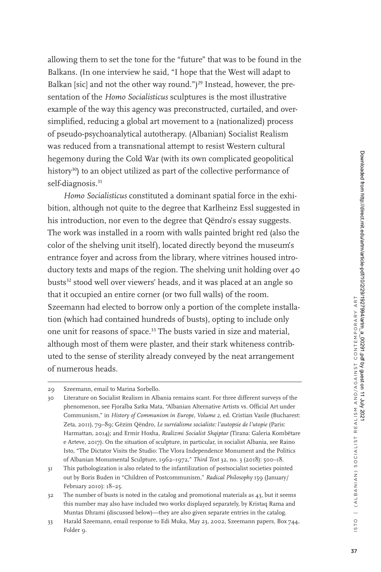allowing them to set the tone for the "future" that was to be found in the Balkans. (In one interview he said, "I hope that the West will adapt to Balkan [sic] and not the other way round.")<sup>29</sup> Instead, however, the presentation of the *Homo Socialisticus* sculptures is the most illustrative example of the way this agency was preconstructed, curtailed, and oversimplified, reducing a global art movement to a (nationalized) process of pseudo-psychoanalytical autotherapy. (Albanian) Socialist Realism was reduced from a transnational attempt to resist Western cultural hegemony during the Cold War (with its own complicated geopolitical history<sup>30</sup>) to an object utilized as part of the collective performance of self-diagnosis.<sup>31</sup>

*Homo Socialisticus* constituted a dominant spatial force in the exhibition, although not quite to the degree that Karlheinz Essl suggested in his introduction, nor even to the degree that Qëndro's essay suggests. The work was installed in a room with walls painted bright red (also the color of the shelving unit itself), located directly beyond the museum's entrance foyer and across from the library, where vitrines housed introductory texts and maps of the region. The shelving unit holding over 40 busts<sup>32</sup> stood well over viewers' heads, and it was placed at an angle so that it occupied an entire corner (or two full walls) of the room. Szeemann had elected to borrow only a portion of the complete installation (which had contained hundreds of busts), opting to include only one unit for reasons of space.<sup>33</sup> The busts varied in size and material, although most of them were plaster, and their stark whiteness contributed to the sense of sterility already conveyed by the neat arrangement of numerous heads.

<sup>29</sup> Szeemann, email to Marina Sorbello.

<sup>30</sup> Literature on Socialist Realism in Albania remains scant. For three different surveys of the phenomenon, see Fjoralba Satka Mata, "Albanian Alternative Artists vs. Official Art under Communism," in *History of Communism in Europe, Volume 2*, ed. Cristian Vasile (Bucharest: Zeta, 2011), 79–89; Gëzim Qëndro, *Le surréalisme socialiste: l'autopsie de l'utopie* (Paris: Harmattan, 2014); and Ermir Hoxha, *Realizmi Socialist Shqiptar* (Tirana: Galeria Kombëtare e Arteve, 2017). On the situation of sculpture, in particular, in socialist Albania, see Raino Isto, "The Dictator Visits the Studio: The Vlora Independence Monument and the Politics of Albanian Monumental Sculpture, 1962–1972," *Third Text* 32, no. 3 (2018): 500–18.

<sup>31</sup> This pathologization is also related to the infantilization of postsocialist societies pointed out by Boris Buden in "Children of Postcommunism," *Radical Philosophy* 159 (January/ February 2010): 18–25.

<sup>32</sup> The number of busts is noted in the catalog and promotional materials as 43, but it seems this number may also have included two works displayed separately, by Kristaq Rama and Muntas Dhrami (discussed below)—they are also given separate entries in the catalog.

<sup>33</sup> Harald Szeemann, email response to Edi Muka, May 23, 2002, Szeemann papers, Box 744, Folder 9.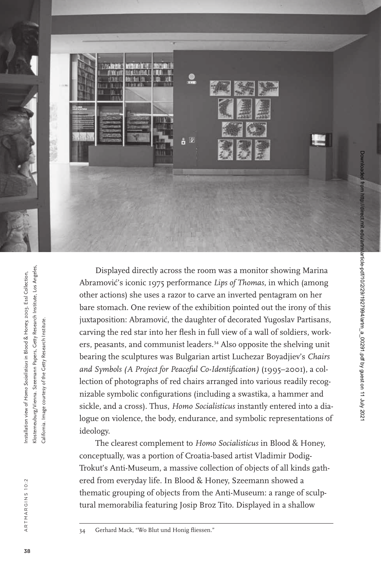

Klosterneuburg/Vienna. Szeemann Papers, Getty Research Institute, Los Angeles, (losterneuburg/Vienna. Szeemann Papers, Getty Research Institute, Los Angeles nstallation view of Homo Socialisticus in Blood & Honey, 2003. Essl Collection, Installation view of *Homo Socialisticus* in Blood & Honey, 2003. Essl Collection, California. Image courtesy of the Getty Research Institute. Research Institute the Getty California. Image courtesy of ideology.

Displayed directly across the room was a monitor showing Marina Abramović's iconic 1975 performance *Lips of Thomas*, in which (among other actions) she uses a razor to carve an inverted pentagram on her bare stomach. One review of the exhibition pointed out the irony of this juxtaposition: Abramović, the daughter of decorated Yugoslav Partisans, carving the red star into her flesh in full view of a wall of soldiers, workers, peasants, and communist leaders.<sup>34</sup> Also opposite the shelving unit bearing the sculptures was Bulgarian artist Luchezar Boyadjiev's *Chairs and Symbols (A Project for Peaceful Co-Identification)* (1995–2001), a collection of photographs of red chairs arranged into various readily recognizable symbolic configurations (including a swastika, a hammer and sickle, and a cross). Thus, *Homo Socialisticus* instantly entered into a dialogue on violence, the body, endurance, and symbolic representations of

The clearest complement to *Homo Socialisticus* in Blood & Honey, conceptually, was a portion of Croatia-based artist Vladimir Dodig-Trokut's Anti-Museum, a massive collection of objects of all kinds gathered from everyday life. In Blood & Honey, Szeemann showed a thematic grouping of objects from the Anti-Museum: a range of sculptural memorabilia featuring Josip Broz Tito. Displayed in a shallow

<sup>34</sup> Gerhard Mack, "Wo Blut und Honig fliessen."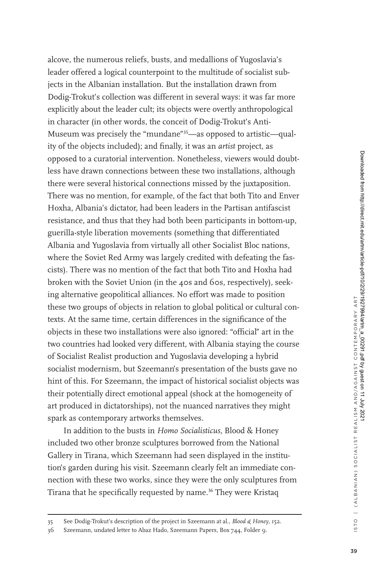alcove, the numerous reliefs, busts, and medallions of Yugoslavia's leader offered a logical counterpoint to the multitude of socialist subjects in the Albanian installation. But the installation drawn from Dodig-Trokut's collection was different in several ways: it was far more explicitly about the leader cult; its objects were overtly anthropological in character (in other words, the conceit of Dodig-Trokut's Anti-Museum was precisely the "mundane"<sup>35</sup>—as opposed to artistic—quality of the objects included); and finally, it was an *artist* project, as opposed to a curatorial intervention. Nonetheless, viewers would doubtless have drawn connections between these two installations, although there were several historical connections missed by the juxtaposition. There was no mention, for example, of the fact that both Tito and Enver Hoxha, Albania's dictator, had been leaders in the Partisan antifascist resistance, and thus that they had both been participants in bottom-up, guerilla-style liberation movements (something that differentiated Albania and Yugoslavia from virtually all other Socialist Bloc nations, where the Soviet Red Army was largely credited with defeating the fascists). There was no mention of the fact that both Tito and Hoxha had broken with the Soviet Union (in the 40s and 60s, respectively), seeking alternative geopolitical alliances. No effort was made to position these two groups of objects in relation to global political or cultural contexts. At the same time, certain differences in the significance of the objects in these two installations were also ignored: "official" art in the two countries had looked very different, with Albania staying the course of Socialist Realist production and Yugoslavia developing a hybrid socialist modernism, but Szeemann's presentation of the busts gave no hint of this. For Szeemann, the impact of historical socialist objects was their potentially direct emotional appeal (shock at the homogeneity of art produced in dictatorships), not the nuanced narratives they might spark as contemporary artworks themselves.

In addition to the busts in *Homo Socialisticus*, Blood & Honey included two other bronze sculptures borrowed from the National Gallery in Tirana, which Szeemann had seen displayed in the institution's garden during his visit. Szeemann clearly felt an immediate connection with these two works, since they were the only sculptures from Tirana that he specifically requested by name.<sup>36</sup> They were Kristaq

<sup>35</sup> See Dodig-Trokut's description of the project in Szeemann at al., *Blood & Honey*, 152.

<sup>36</sup> Szeemann, undated letter to Abaz Hado, Szeemann Papers, Box 744, Folder 9.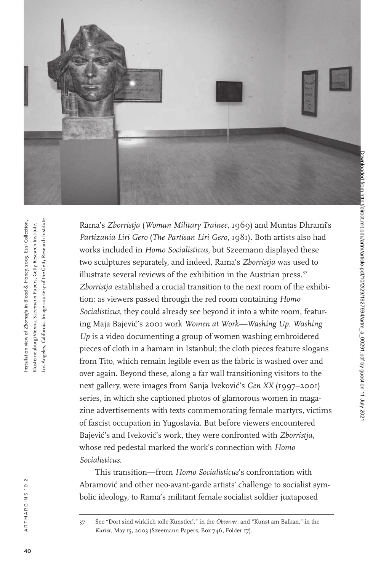

Image courtesy of the Getty Research Institute. Los Angeles, California. Image courtesy of the Getty Research Institute. Installation view of *Zborristja* in Blood & Honey, 2003. Essl Collection, nstallation view of Zborristia in Blood & Honey, 2003. Essl Collection, (losterneuburg/Vienna. Szeemann Papers, Getty Research Institute, Klosterneuburg/Vienna. Szeemann Papers, Getty Research Institute, os Angeles, California.

Rama's *Zborristja* (*Woman Military Trainee*, 1969) and Muntas Dhrami's *Partizania Liri Gero* (*The Partisan Liri Gero*, 1981). Both artists also had works included in *Homo Socialisticus*, but Szeemann displayed these two sculptures separately, and indeed, Rama's *Zborristja* was used to illustrate several reviews of the exhibition in the Austrian press.<sup>37</sup> *Zborristja* established a crucial transition to the next room of the exhibition: as viewers passed through the red room containing *Homo Socialisticus*, they could already see beyond it into a white room, featuring Maja Bajević's 2001 work *Women at Work*—Washing Up. Washing *Up* is a video documenting a group of women washing embroidered pieces of cloth in a hamam in Istanbul; the cloth pieces feature slogans from Tito, which remain legible even as the fabric is washed over and over again. Beyond these, along a far wall transitioning visitors to the next gallery, were images from Sanja Iveković's *Gen XX* (1997–2001) series, in which she captioned photos of glamorous women in magazine advertisements with texts commemorating female martyrs, victims of fascist occupation in Yugoslavia. But before viewers encountered Bajević's and Iveković's work, they were confronted with *Zborristja*, whose red pedestal marked the work's connection with *Homo Socialisticus*.

This transition—from *Homo Socialisticus*'s confrontation with Abramović and other neo-avant-garde artists' challenge to socialist symbolic ideology, to Rama's militant female socialist soldier juxtaposed

<sup>37</sup> See "Dort sind wirklich tolle Künstler!," in the *Observer*, and "Kunst am Balkan," in the *Kurier*, May 15, 2003 (Szeemann Papers, Box 746, Folder 17).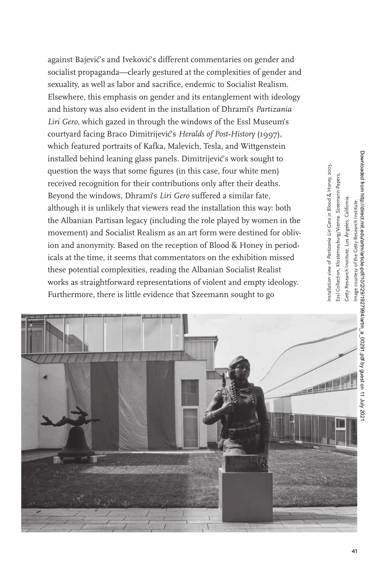against Bajević's and Iveković's different commentaries on gender and socialist propaganda—clearly gestured at the complexities of gender and sexuality, as well as labor and sacrifice, endemic to Socialist Realism. Elsewhere, this emphasis on gender and its entanglement with ideology and history was also evident in the installation of Dhrami's *Partizania Liri Gero*, which gazed in through the windows of the Essl Museum's courtyard facing Braco Dimitrijević's *Heralds of Post-History* (1997), which featured portraits of Kafka, Malevich, Tesla, and Wittgenstein installed behind leaning glass panels. Dimitrijević's work sought to question the ways that some figures (in this case, four white men) received recognition for their contributions only after their deaths. Beyond the windows, Dhrami's *Liri Gero* suffered a similar fate, although it is unlikely that viewers read the installation this way: both the Albanian Partisan legacy (including the role played by women in the movement) and Socialist Realism as an art form were destined for oblivion and anonymity. Based on the reception of Blood & Honey in periodicals at the time, it seems that commentators on the exhibition missed these potential complexities, reading the Albanian Socialist Realist works as straightforward representations of violent and empty ideology. Furthermore, there is little evidence that Szeemann sought to go



Downloaded from http://direct.mit.edu/artm/article-pdf/10/2/29/1927994/artm\_a\_00291.pdf by guest on 11 July 2021 Downloaded from http://direct.mit.edu/artm/article-pdf/10/2/29/1927994/artm\_a\_00291.pdf by guest on 11 July 2021Getty Research Institute, Los Angeles, California. Getty Research Institute, Los Angeles, California of the Getty Research Institute. Image courtesy of the Getty Research Institute. Image courtesy

Installation view of *Partizania Liri Gero* in Blood & Honey, 2003. Essl Collection, Klosterneuburg/Vienna. Szeemann Papers,

nstallation view of Partizania Liri Gero in Blood & Honey, 2003. issl Collection, Klosterneuburg/Vienna. Szeemann Papers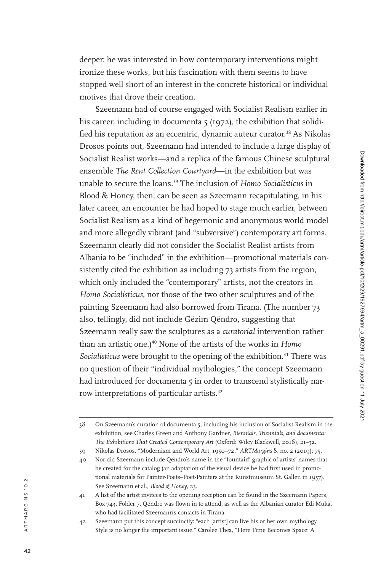deeper: he was interested in how contemporary interventions might ironize these works, but his fascination with them seems to have stopped well short of an interest in the concrete historical or individual motives that drove their creation.

Szeemann had of course engaged with Socialist Realism earlier in his career, including in documenta 5 (1972), the exhibition that solidi fied his reputation as an eccentric, dynamic auteur curator.<sup>38</sup> As Nikolas Drosos points out, Szeemann had intended to include a large display of Socialist Realist works—and a replica of the famous Chinese sculptural ensemble *The Rent Collection Courtyard*—in the exhibition but was unable to secure the loans.<sup>39</sup> The inclusion of *Homo Socialisticus* in Blood & Honey, then, can be seen as Szeemann recapitulating, in his later career, an encounter he had hoped to stage much earlier, between Socialist Realism as a kind of hegemonic and anonymous world model and more allegedly vibrant (and "subversive") contemporary art forms. Szeemann clearly did not consider the Socialist Realist artists from Albania to be "included" in the exhibition—promotional materials con sistently cited the exhibition as including 73 artists from the region, which only included the "contemporary" artists, not the creators in *Homo Socialisticus*, nor those of the two other sculptures and of the painting Szeemann had also borrowed from Tirana. (The number 73 also, tellingly, did not include Gëzim Qëndro, suggesting that Szeemann really saw the sculptures as a *curatorial* intervention rather than an artistic one.)<sup>40</sup> None of the artists of the works in *Homo Socialisticus* were brought to the opening of the exhibition.<sup>41</sup> There was no question of their "individual mythologies," the concept Szeemann had introduced for documenta 5 in order to transcend stylistically narrow interpretations of particular artists.<sup>42</sup>

<sup>38</sup> On Szeemann's curation of documenta 5, including his inclusion of Socialist Realism in the exhibition, see Charles Green and Anthony Gardner, *Biennials, Triennials, and documenta: The Exhibitions That Created Contemporary Art* (Oxford: Wiley Blackwell, 2016), 21–32.

<sup>39</sup> Nikolas Drosos, "Modernism and World Art, 1950–72," *ARTMargins* 8, no. 2 (2019): 75.

<sup>40</sup> Nor did Szeemann include Qëndro's name in the "fountain" graphic of artists' names that he created for the catalog (an adaptation of the visual device he had first used in promo tional materials for Painter-Poets–Poet-Painters at the Kunstmuseum St. Gallen in 1957). See Szeemann et al., *Blood & Honey*, 23.

<sup>41</sup> A list of the artist invitees to the opening reception can be found in the Szeemann Papers, Box 743, Folder 7. Qëndro was flown in to attend, as well as the Albanian curator Edi Muka, who had facilitated Szeemann's contacts in Tirana.

<sup>42</sup> Szeemann put this concept succinctly: "each [artist] can live his or her own mythology. Style is no longer the important issue." Carolee Thea, "Here Time Becomes Space: A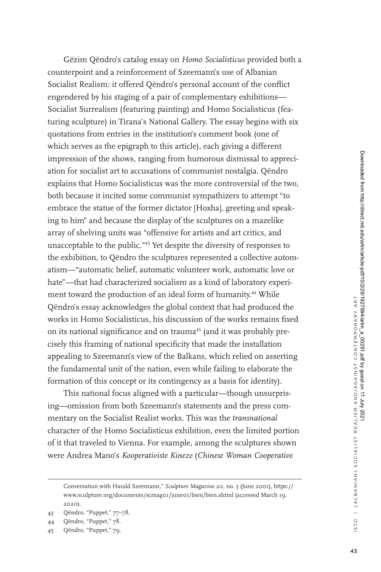Gëzim Qëndro's catalog essay on *Homo Socialisticus* provided both a counterpoint and a reinforcement of Szeemann's use of Albanian Socialist Realism: it offered Qëndro's personal account of the conflict engendered by his staging of a pair of complementary exhibitions— Socialist Surrealism (featuring painting) and Homo Socialisticus (featuring sculpture) in Tirana's National Gallery. The essay begins with six quotations from entries in the institution's comment book (one of which serves as the epigraph to this article), each giving a different impression of the shows, ranging from humorous dismissal to appreciation for socialist art to accusations of communist nostalgia. Qëndro explains that Homo Socialisticus was the more controversial of the two, both because it incited some communist sympathizers to attempt "to embrace the statue of the former dictator [Hoxha], greeting and speaking to him" and because the display of the sculptures on a mazelike array of shelving units was "offensive for artists and art critics, and unacceptable to the public."<sup>43</sup> Yet despite the diversity of responses to the exhibition, to Qëndro the sculptures represented a collective automatism—"automatic belief, automatic volunteer work, automatic love or hate"—that had characterized socialism as a kind of laboratory experiment toward the production of an ideal form of humanity.<sup>44</sup> While Qëndro's essay acknowledges the global context that had produced the works in Homo Socialisticus, his discussion of the works remains fixed on its national significance and on trauma<sup>45</sup> (and it was probably precisely this framing of national specificity that made the installation appealing to Szeemann's view of the Balkans, which relied on asserting the fundamental unit of the nation, even while failing to elaborate the formation of this concept or its contingency as a basis for identity).

This national focus aligned with a particular—though unsurprising—omission from both Szeemann's statements and the press commentary on the Socialist Realist works. This was the *transnational* character of the Homo Socialisticus exhibition, even the limited portion of it that traveled to Vienna. For example, among the sculptures shown were Andrea Mano's *Kooperativiste Kineze* (*Chinese Woman Cooperative* 

Conversation with Harald Szeemann," *Sculpture Magazine* 20, no. 5 (June 2001), https:// www.sculpture.org/documents/scmag01/june01/bien/bien.shtml (accessed March 19, 2020).

<sup>43</sup> Qëndro, "Puppet," 77–78.

<sup>44</sup> Qëndro, "Puppet," 78.

<sup>45</sup> Qëndro, "Puppet," 79.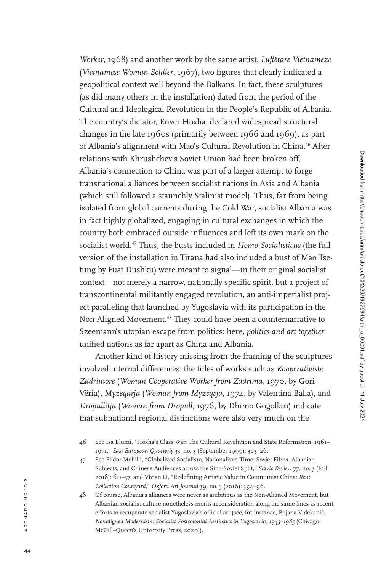*Worker*, 1968) and another work by the same artist, *Luftëtare Vietnameze* (*Vietnamese Woman Soldier*, 1967), two figures that clearly indicated a geopolitical context well beyond the Balkans. In fact, these sculptures (as did many others in the installation) dated from the period of the Cultural and Ideological Revolution in the People's Republic of Albania. The country's dictator, Enver Hoxha, declared widespread structural changes in the late 1960s (primarily between 1966 and 1969), as part of Albania's alignment with Mao's Cultural Revolution in China.<sup>46</sup> After relations with Khrushchev's Soviet Union had been broken off, Albania's connection to China was part of a larger attempt to forge transnational alliances between socialist nations in Asia and Albania (which still followed a staunchly Stalinist model). Thus, far from being isolated from global currents during the Cold War, socialist Albania was in fact highly globalized, engaging in cultural exchanges in which the country both embraced outside influences and left its own mark on the socialist world.<sup>47</sup> Thus, the busts included in *Homo Socialisticus* (the full version of the installation in Tirana had also included a bust of Mao Tsetung by Fuat Dushku) were meant to signal—in their original socialist context—not merely a narrow, nationally specific spirit, but a project of transcontinental militantly engaged revolution, an anti-imperialist proj ect paralleling that launched by Yugoslavia with its participation in the Non-Aligned Movement.<sup>48</sup> They could have been a counternarrative to Szeemann's utopian escape from politics: here, *politics and art together* unified nations as far apart as China and Albania.

Another kind of history missing from the framing of the sculptures involved internal differences: the titles of works such as *Kooperativiste Zadrimore* (*Woman Cooperative Worker from Zadrima*, 1970, by Gori Vëria), *Myzeqarja* (*Woman from Myzeqeja*, 1974, by Valentina Balla), and *Dropullitja* (*Woman from Dropull*, 1976, by Dhimo Gogollari) indicate that subnational regional distinctions were also very much on the

44

<sup>46</sup> See Isa Blumi, "Hoxha's Class War: The Cultural Revolution and State Reformation, 1961– 1971," *East European Quarterly* 33, no. 3 (September 1999): 303–26.

<sup>47</sup> See Elidor Mëhilli, "Globalized Socialism, Nationalized Time: Soviet Films, Albanian Subjects, and Chinese Audiences across the Sino-Soviet Split," *Slavic Review* 77, no. 3 (Fall 2018): 611–37, and Vivian Li, "Redefining Artistic Value in Communist China: *Rent Collection Courtyard*," *Oxford Art Journal* 39, no. 3 (2016): 394–96.

<sup>48</sup> Of course, Albania's alliances were never as ambitious as the Non-Aligned Movement, but Albanian socialist culture nonetheless merits reconsideration along the same lines as recent efforts to recuperate socialist Yugoslavia's official art (see, for instance, Bojana Videkanič, *Nonaligned Modernism: Socialist Postcolonial Aesthetics in Yugoslavia, 1945–1985* (Chicago: McGill–Queen's University Press, 2020)).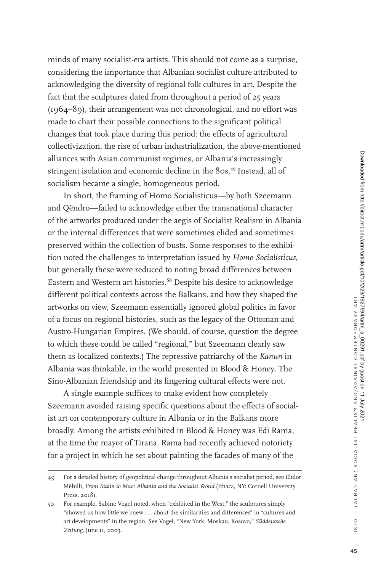minds of many socialist-era artists. This should not come as a surprise, considering the importance that Albanian socialist culture attributed to acknowledging the diversity of regional folk cultures in art. Despite the fact that the sculptures dated from throughout a period of 25 years (1964–89), their arrangement was not chronological, and no effort was made to chart their possible connections to the significant political changes that took place during this period: the effects of agricultural collectivization, the rise of urban industrialization, the above-mentioned alliances with Asian communist regimes, or Albania's increasingly stringent isolation and economic decline in the 80s.<sup>49</sup> Instead, all of socialism became a single, homogeneous period.

In short, the framing of Homo Socialisticus—by both Szeemann and Qëndro—failed to acknowledge either the transnational character of the artworks produced under the aegis of Socialist Realism in Albania or the internal differences that were sometimes elided and sometimes preserved within the collection of busts. Some responses to the exhibition noted the challenges to interpretation issued by *Homo Socialisticus*, but generally these were reduced to noting broad differences between Eastern and Western art histories.<sup>50</sup> Despite his desire to acknowledge different political contexts across the Balkans, and how they shaped the artworks on view, Szeemann essentially ignored global politics in favor of a focus on regional histories, such as the legacy of the Ottoman and Austro-Hungarian Empires. (We should, of course, question the degree to which these could be called "regional," but Szeemann clearly saw them as localized contexts.) The repressive patriarchy of the *Kanun* in Albania was thinkable, in the world presented in Blood & Honey*.* The Sino-Albanian friendship and its lingering cultural effects were not.

A single example suffices to make evident how completely Szeemann avoided raising specific questions about the effects of socialist art on contemporary culture in Albania or in the Balkans more broadly. Among the artists exhibited in Blood & Honey was Edi Rama, at the time the mayor of Tirana. Rama had recently achieved notoriety for a project in which he set about painting the facades of many of the

<sup>49</sup> For a detailed history of geopolitical change throughout Albania's socialist period, see Elidor Mëhilli, *From Stalin to Mao: Albania and the Socialist World* (Ithaca, NY: Cornell University Press, 2018).

<sup>50</sup> For example, Sabine Vogel noted, when "exhibited in the West," the sculptures simply "showed us how little we knew . . . about the similarities and differences" in "cultures and art developments" in the region. See Vogel, "New York, Moskau, Kosovo," *Süddeutsche Zeitung*, June 11, 2003.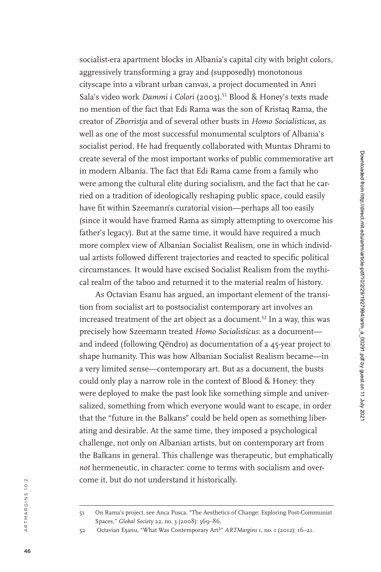socialist-era apartment blocks in Albania's capital city with bright colors, aggressively transforming a gray and (supposedly) monotonous cityscape into a vibrant urban canvas, a project documented in Anri Sala's video work *Dammi i Colori* (2003).<sup>51</sup> Blood & Honey's texts made no mention of the fact that Edi Rama was the son of Kristaq Rama, the creator of *Zborristja* and of several other busts in *Homo Socialisticus*, as well as one of the most successful monumental sculptors of Albania's socialist period. He had frequently collaborated with Muntas Dhrami to create several of the most important works of public commemorative art in modern Albania. The fact that Edi Rama came from a family who were among the cultural elite during socialism, and the fact that he carried on a tradition of ideologically reshaping public space, could easily have fit within Szeemann's curatorial vision—perhaps all too easily (since it would have framed Rama as simply attempting to overcome his father's legacy). But at the same time, it would have required a much more complex view of Albanian Socialist Realism, one in which individ ual artists followed different trajectories and reacted to specific political circumstances. It would have excised Socialist Realism from the mythi cal realm of the taboo and returned it to the material realm of history. As Octavian Esanu has argued, an important element of the transi -

tion from socialist art to postsocialist contemporary art involves an increased treatment of the art object as a document.<sup>52</sup> In a way, this was precisely how Szeemann treated *Homo Socialisticus*: as a document and indeed (following Qëndro) as documentation of a 45 -year project to shape humanity. This was how Albanian Socialist Realism became—in a very limited sense—contemporary art. But as a document, the busts could only play a narrow role in the context of Blood & Honey: they were deployed to make the past look like something simple and universalized, something from which everyone would want to escape, in order that the "future in the Balkans" could be held open as something liberating and desirable. At the same time, they imposed a psychological challenge, not only on Albanian artists, but on contemporary art from the Balkans in general. This challenge was therapeutic, but emphatically *not* hermeneutic, in character: come to terms with socialism and overcome it, but do not understand it historically.

<sup>51</sup> On Rama's project, see Anca Pusca, "The Aesthetics of Change: Exploring Post-Communist Spaces," *Global Society* 22, no. 3 (2008): 369–86.

<sup>52</sup> Octavian Esanu, "What Was Contemporary Art?" *ARTMargins* 1, no. 1 (2012): 16-21.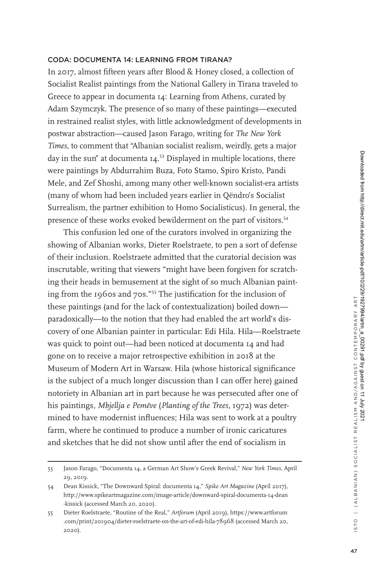## Coda: documenta 14: Learning from Tirana?

In 2017, almost fifteen years after Blood & Honey closed, a collection of Socialist Realist paintings from the National Gallery in Tirana traveled to Greece to appear in documenta 14: Learning from Athens, curated by Adam Szymczyk. The presence of so many of these paintings—executed in restrained realist styles, with little acknowledgment of developments in postwar abstraction—caused Jason Farago, writing for *The New York Times*, to comment that "Albanian socialist realism, weirdly, gets a major day in the sun" at documenta  $I4$ .<sup>53</sup> Displayed in multiple locations, there were paintings by Abdurrahim Buza, Foto Stamo, Spiro Kristo, Pandi Mele, and Zef Shoshi, among many other well-known socialist-era artists (many of whom had been included years earlier in Qëndro's Socialist Surrealism, the partner exhibition to Homo Socialisticus). In general, the presence of these works evoked bewilderment on the part of visitors.<sup>54</sup>

This confusion led one of the curators involved in organizing the showing of Albanian works, Dieter Roelstraete, to pen a sort of defense of their inclusion. Roelstraete admitted that the curatorial decision was inscrutable, writing that viewers "might have been forgiven for scratching their heads in bemusement at the sight of so much Albanian painting from the 1960s and 70s."<sup>55</sup> The justification for the inclusion of these paintings (and for the lack of contextualization) boiled down paradoxically—to the notion that they had enabled the art world's discovery of one Albanian painter in particular: Edi Hila. Hila—Roelstraete was quick to point out—had been noticed at documenta 14 and had gone on to receive a major retrospective exhibition in 2018 at the Museum of Modern Art in Warsaw. Hila (whose historical significance is the subject of a much longer discussion than I can offer here) gained notoriety in Albanian art in part because he was persecuted after one of his paintings, *Mbjellja e Pemëve* (*Planting of the Trees*, 1972) was determined to have modernist influences; Hila was sent to work at a poultry farm, where he continued to produce a number of ironic caricatures and sketches that he did not show until after the end of socialism in

<sup>53</sup> Jason Farago, "Documenta 14, a German Art Show's Greek Revival," *New York Times*, April 29, 2019.

<sup>54</sup> Dean Kissick, "The Downward Spiral: documenta 14," *Spike Art Magazine* (April 2017), http://www.spikeartmagazine.com/image-article/downward-spiral-documenta-14-dean -kissick (accessed March 20, 2020).

<sup>55</sup> Dieter Roelstraete, "Routine of the Real," *Artforum* (April 2019), https://www.artforum .com/print/201904/dieter-roelstraete-on-the-art-of-edi-hila-78968 (accessed March 20, 2020).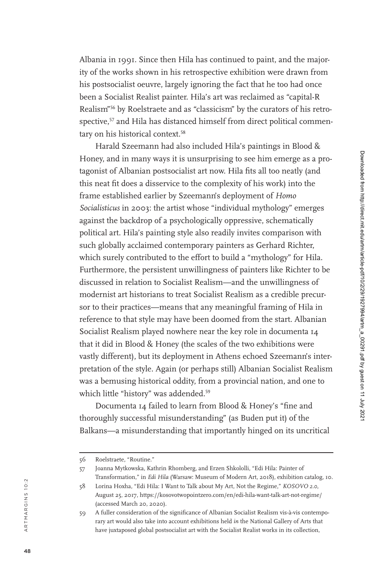Albania in 1991. Since then Hila has continued to paint, and the majority of the works shown in his retrospective exhibition were drawn from his postsocialist oeuvre, largely ignoring the fact that he too had once been a Socialist Realist painter. Hila's art was reclaimed as "capital-R Realism"<sup>56</sup> by Roelstraete and as "classicism" by the curators of his retrospective,<sup>57</sup> and Hila has distanced himself from direct political commentary on his historical context.<sup>58</sup>

Harald Szeemann had also included Hila's paintings in Blood & Honey, and in many ways it is unsurprising to see him emerge as a pro tagonist of Albanian postsocialist art now. Hila fits all too neatly (and this neat fit does a disservice to the complexity of his work) into the frame established earlier by Szeemann's deployment of *Homo Socialisticus* in 2003: the artist whose "individual mythology" emerges against the backdrop of a psychologically oppressive, schematically political art. Hila's painting style also readily invites comparison with such globally acclaimed contemporary painters as Gerhard Richter, which surely contributed to the effort to build a "mythology" for Hila. Furthermore, the persistent unwillingness of painters like Richter to be discussed in relation to Socialist Realism—and the unwillingness of modernist art historians to treat Socialist Realism as a credible precursor to their practices—means that any meaningful framing of Hila in reference to that style may have been doomed from the start. Albanian Socialist Realism played nowhere near the key role in documenta 14 that it did in Blood & Honey (the scales of the two exhibitions were vastly different), but its deployment in Athens echoed Szeemann's interpretation of the style. Again (or perhaps still) Albanian Socialist Realism was a bemusing historical oddity, from a provincial nation, and one to which little "history" was addended.<sup>59</sup>

Documenta 14 failed to learn from Blood & Honey's "fine and thoroughly successful misunderstanding" (as Buden put it) of the Balkans—a misunderstanding that importantly hinged on its uncritical

<sup>56</sup> Roelstraete, "Routine."

<sup>57</sup> Joanna Mytkowska, Kathrin Rhomberg, and Erzen Shkololli, "Edi Hila: Painter of Transformation," in *Edi Hila* (Warsaw: Museum of Modern Art, 2018), exhibition catalog, 10.

<sup>58</sup> Lorina Hoxha, "Edi Hila: I Want to Talk about My Art, Not the Regime," *KOSOVO 2.0*, August 25, 2017, https://kosovotwopointzero.com/en/edi-hila-want-talk-art-not-regime/ (accessed March 20, 2020).

<sup>59</sup> A fuller consideration of the significance of Albanian Socialist Realism vis-à-vis contempo rary art would also take into account exhibitions held *in* the National Gallery of Arts that have juxtaposed global postsocialist art with the Socialist Realist works in its collection,